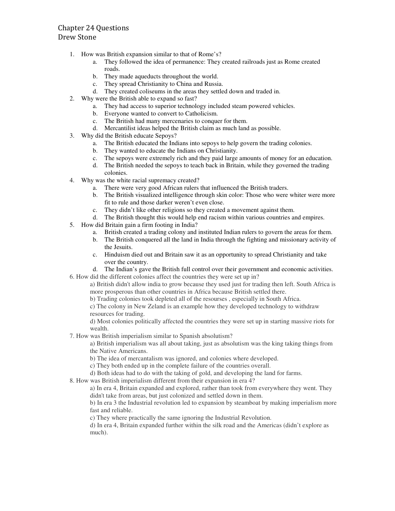## Chapter 24 Questions Drew Stone

- 1. How was British expansion similar to that of Rome's?
	- a. They followed the idea of permanence: They created railroads just as Rome created roads.
	- b. They made aqueducts throughout the world.
	- c. They spread Christianity to China and Russia.
	- d. They created coliseums in the areas they settled down and traded in.
- 2. Why were the British able to expand so fast?
	- a. They had access to superior technology included steam powered vehicles.
	- b. Everyone wanted to convert to Catholicism.
	- c. The British had many mercenaries to conquer for them.
	- d. Mercantilist ideas helped the British claim as much land as possible.
- 3. Why did the British educate Sepoys?
	- a. The British educated the Indians into sepoys to help govern the trading colonies.
	- b. They wanted to educate the Indians on Christianity.
	- c. The sepoys were extremely rich and they paid large amounts of money for an education.
	- d. The British needed the sepoys to teach back in Britain, while they governed the trading
		- colonies.
- 4. Why was the white racial supremacy created?
	- a. There were very good African rulers that influenced the British traders.
		- b. The British visualized intelligence through skin color: Those who were whiter were more fit to rule and those darker weren't even close.
		- c. They didn't like other religions so they created a movement against them.
		- d. The British thought this would help end racism within various countries and empires.
- 5. How did Britain gain a firm footing in India?
	- a. British created a trading colony and instituted Indian rulers to govern the areas for them.
	- b. The British conquered all the land in India through the fighting and missionary activity of the Jesuits.
	- c. Hinduism died out and Britain saw it as an opportunity to spread Christianity and take over the country.
- d. The Indian's gave the British full control over their government and economic activities. 6. How did the different colonies affect the countries they were set up in?

a) British didn't allow india to grow because they used just for trading then left. South Africa is more prosperous than other countries in Africa because British settled there.

b) Trading colonies took depleted all of the resourses , especially in South Africa.

c) The colony in New Zeland is an example how they developed technology to withdraw resources for trading.

d) Most colonies politically affected the countries they were set up in starting massive riots for wealth.

7. How was British imperialism similar to Spanish absolutism?

a) British imperialism was all about taking, just as absolutism was the king taking things from the Native Americans.

b) The idea of mercantalism was ignored, and colonies where developed.

c) They both ended up in the complete failure of the countries overall.

d) Both ideas had to do with the taking of gold, and developing the land for farms.

8. How was British imperialism different from their expansion in era 4?

a) In era 4, Britain expanded and explored, rather than took from everywhere they went. They didn't take from areas, but just colonized and settled down in them.

b) In era 3 the Industrial revolution led to expansion by steamboat by making imperialism more fast and reliable.

c) They where practically the same ignoring the Industrial Revolution.

d) In era 4, Britain expanded further within the silk road and the Americas (didn't explore as much).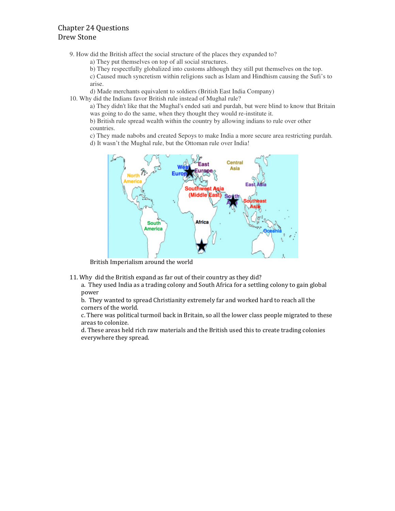## Chapter 24 Questions Drew Stone

9. How did the British affect the social structure of the places they expanded to?

- a) They put themselves on top of all social structures.
- b) They respectfully globalized into customs although they still put themselves on the top.

c) Caused much syncretism within religions such as Islam and Hindhism causing the Sufi's to arise.

d) Made merchants equivalent to soldiers (British East India Company)

10. Why did the Indians favor British rule instead of Mughal rule?

a) They didn't like that the Mughal's ended sati and purdah, but were blind to know that Britain was going to do the same, when they thought they would re-institute it.

b) British rule spread wealth within the country by allowing indians to rule over other countries.

c) They made nabobs and created Sepoys to make India a more secure area restricting purdah.

d) It wasn't the Mughal rule, but the Ottoman rule over India!



British Imperialism around the world

11. Why did the British expand as far out of their country as they did?

a. They used India as a trading colony and South Africa for a settling colony to gain global power

b. They wanted to spread Christianity extremely far and worked hard to reach all the corners of the world.

c. There was political turmoil back in Britain, so all the lower class people migrated to these areas to colonize.

d. These areas held rich raw materials and the British used this to create trading colonies everywhere they spread.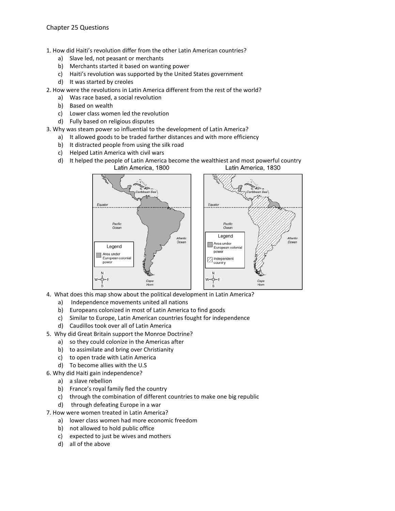1. How did Haiti's revolution differ from the other Latin American countries?

- a) Slave led, not peasant or merchants
- b) Merchants started it based on wanting power
- c) Haiti's revolution was supported by the United States government
- d) It was started by creoles
- 2. How were the revolutions in Latin America different from the rest of the world?
	- a) Was race based, a social revolution
	- b) Based on wealth
	- c) Lower class women led the revolution
	- d) Fully based on religious disputes
- 3. Why was steam power so influential to the development of Latin America?
	- a) It allowed goods to be traded farther distances and with more efficiency
	- b) It distracted people from using the silk road
	- c) Helped Latin America with civil wars
	- d) It helped the people of Latin America become the wealthiest and most powerful country<br>Latin America, 1800 Latin America, 1830



- 4. What does this map show about the political development in Latin America?
	- a) Independence movements united all nations
	- b) Europeans colonized in most of Latin America to find goods
	- c) Similar to Europe, Latin American countries fought for independence
	- d) Caudillos took over all of Latin America
- 5. Why did Great Britain support the Monroe Doctrine?
	- a) so they could colonize in the Americas after
	- b) to assimilate and bring over Christianity
	- c) to open trade with Latin America
	- d) To become allies with the U.S
- 6. Why did Haiti gain independence?
	- a) a slave rebellion
	- b) France's royal family fled the country
	- c) through the combination of different countries to make one big republic
	- d) through defeating Europe in a war
- 7. How were women treated in Latin America?
	- a) lower class women had more economic freedom
	- b) not allowed to hold public office
	- c) expected to just be wives and mothers
	- d) all of the above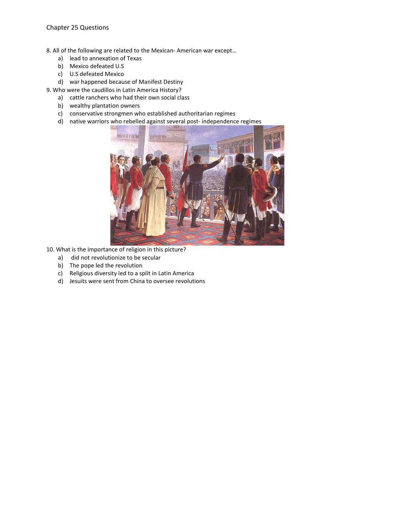8. All of the following are related to the Mexican- American war except…

- a) lead to annexation of Texas
- b) Mexico defeated U.S
- c) U.S defeated Mexico
- d) war happened because of Manifest Destiny
- 9. Who were the caudillos in Latin America History?
	- a) cattle ranchers who had their own social class
	- b) wealthy plantation owners
	- c) conservative strongmen who established authoritarian regimes
	- d) native warriors who rebelled against several post- independence regimes



- 10. What is the importance of religion in this picture?
	- a) did not revolutionize to be secular
	- b) The pope led the revolution
	- c) Religious diversity led to a split in Latin America
	- d) Jesuits were sent from China to oversee revolutions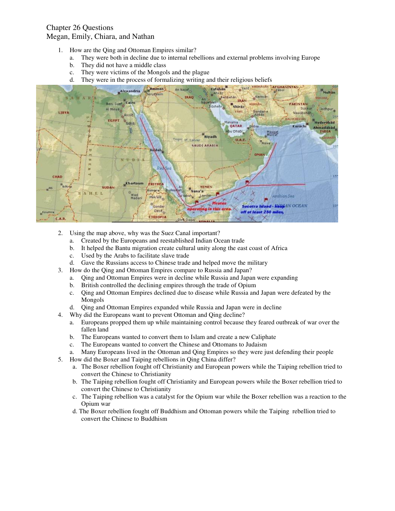## Chapter 26 Questions Megan, Emily, Chiara, and Nathan

- 1. How are the Qing and Ottoman Empires similar?
	- a. They were both in decline due to internal rebellions and external problems involving Europe
	- b. They did not have a middle class
	- c. They were victims of the Mongols and the plague
	- d. They were in the process of formalizing writing and their religious beliefs



- 2. Using the map above, why was the Suez Canal important?
	- a. Created by the Europeans and reestablished Indian Ocean trade
	- b. It helped the Bantu migration create cultural unity along the east coast of Africa
	- c. Used by the Arabs to facilitate slave trade
	- d. Gave the Russians access to Chinese trade and helped move the military
- 3. How do the Qing and Ottoman Empires compare to Russia and Japan?
	- a. Qing and Ottoman Empires were in decline while Russia and Japan were expanding
	- b. British controlled the declining empires through the trade of Opium
	- c. Qing and Ottoman Empires declined due to disease while Russia and Japan were defeated by the Mongols
	- d. Qing and Ottoman Empires expanded while Russia and Japan were in decline
- 4. Why did the Europeans want to prevent Ottoman and Qing decline?
	- a. Europeans propped them up while maintaining control because they feared outbreak of war over the fallen land
	- b. The Europeans wanted to convert them to Islam and create a new Caliphate
	- c. The Europeans wanted to convert the Chinese and Ottomans to Judaism
	- a. Many Europeans lived in the Ottoman and Qing Empires so they were just defending their people
- 5. How did the Boxer and Taiping rebellions in Qing China differ?
	- a. The Boxer rebellion fought off Christianity and European powers while the Taiping rebellion tried to convert the Chinese to Christianity
	- b. The Taiping rebellion fought off Christianity and European powers while the Boxer rebellion tried to convert the Chinese to Christianity
	- c. The Taiping rebellion was a catalyst for the Opium war while the Boxer rebellion was a reaction to the Opium war
	- d. The Boxer rebellion fought off Buddhism and Ottoman powers while the Taiping rebellion tried to convert the Chinese to Buddhism